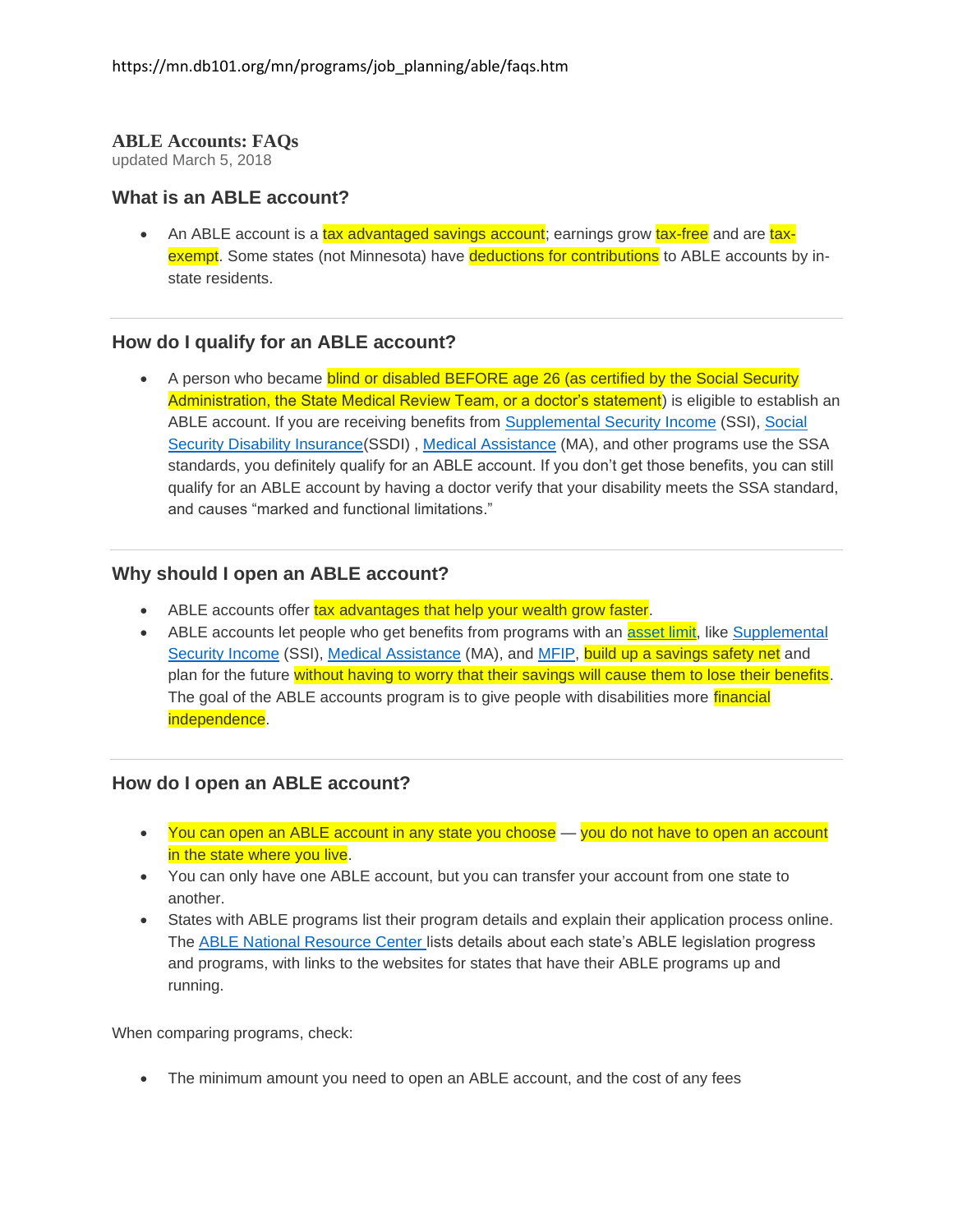#### **ABLE Accounts: FAQs**

updated March 5, 2018

### **What is an ABLE account?**

• An ABLE account is a tax advantaged savings account; earnings grow tax-free and are taxexempt. Some states (not Minnesota) have deductions for contributions to ABLE accounts by instate residents.

### **How do I qualify for an ABLE account?**

• A person who became blind or disabled BEFORE age 26 (as certified by the Social Security Administration, the State Medical Review Team, or a doctor's statement) is eligible to establish an ABLE account. If you are receiving benefits from [Supplemental Security Income](https://mn.db101.org/glossary_item.aspx?item-id=855) (SSI), [Social](https://mn.db101.org/glossary_item.aspx?item-id=2044)  [Security Disability Insurance\(](https://mn.db101.org/glossary_item.aspx?item-id=2044)SSDI) , [Medical Assistance](https://mn.db101.org/glossary_item.aspx?item-id=2010) (MA), and other programs use the SSA standards, you definitely qualify for an ABLE account. If you don't get those benefits, you can still qualify for an ABLE account by having a doctor verify that your disability meets the SSA standard, and causes "marked and functional limitations."

### **Why should I open an ABLE account?**

- ABLE accounts offer tax advantages that help your wealth grow faster.
- ABLE accounts let people who get benefits from programs with an **asset limit**, like Supplemental [Security Income](https://mn.db101.org/glossary_item.aspx?item-id=855) (SSI), [Medical Assistance](https://mn.db101.org/glossary_item.aspx?item-id=2010) (MA), and [MFIP,](https://mn.db101.org/glossary_item.aspx?item-id=2001) build up a savings safety net and plan for the future without having to worry that their savings will cause them to lose their benefits. The goal of the ABLE accounts program is to give people with disabilities more financial independence.

# **How do I open an ABLE account?**

- You can open an ABLE account in any state you choose you do not have to open an account in the state where you live.
- You can only have one ABLE account, but you can transfer your account from one state to another.
- States with ABLE programs list their program details and explain their application process online. The [ABLE National Resource Center](http://www.ablenrc.org/state-review) lists details about each state's ABLE legislation progress and programs, with links to the websites for states that have their ABLE programs up and running.

When comparing programs, check:

• The minimum amount you need to open an ABLE account, and the cost of any fees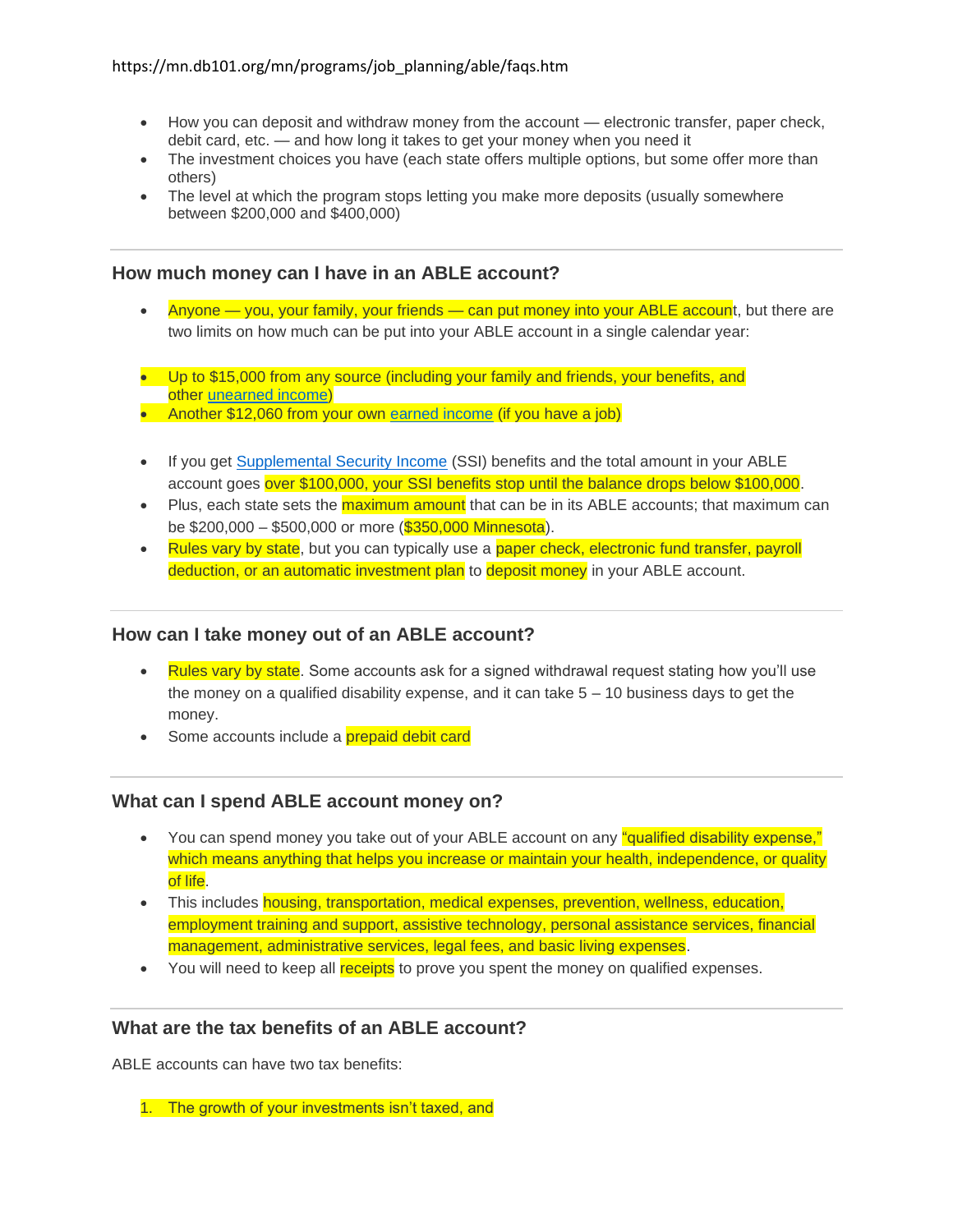- How you can deposit and withdraw money from the account electronic transfer, paper check, debit card, etc. — and how long it takes to get your money when you need it
- The investment choices you have (each state offers multiple options, but some offer more than others)
- The level at which the program stops letting you make more deposits (usually somewhere between \$200,000 and \$400,000)

# **How much money can I have in an ABLE account?**

- Anyone you, your family, your friends can put money into your ABLE account, but there are two limits on how much can be put into your ABLE account in a single calendar year:
- Up to \$15,000 from any source (including your family and friends, your benefits, and other [unearned income\)](https://mn.db101.org/glossary_item.aspx?item-id=763)
- Another \$12,060 from your own [earned income](https://mn.db101.org/glossary_item.aspx?item-id=847) (if you have a job)
- If you get [Supplemental Security Income](https://mn.db101.org/glossary_item.aspx?item-id=855) (SSI) benefits and the total amount in your ABLE account goes over \$100,000, your SSI benefits stop until the balance drops below \$100,000.
- Plus, each state sets the *maximum amount* that can be in its ABLE accounts; that maximum can be \$200,000 – \$500,000 or more (\$350,000 Minnesota).
- Rules vary by state, but you can typically use a paper check, electronic fund transfer, payroll deduction, or an automatic investment plan to deposit money in your ABLE account.

# **How can I take money out of an ABLE account?**

- Rules vary by state. Some accounts ask for a signed withdrawal request stating how you'll use the money on a qualified disability expense, and it can take  $5 - 10$  business days to get the money.
- Some accounts include a prepaid debit card

# **What can I spend ABLE account money on?**

- You can spend money you take out of your ABLE account on any "qualified disability expense," which means anything that helps you increase or maintain your health, independence, or quality of life.
- This includes **housing, transportation, medical expenses, prevention, wellness, education,** employment training and support, assistive technology, personal assistance services, financial management, administrative services, legal fees, and basic living expenses.
- You will need to keep all receipts to prove you spent the money on qualified expenses.

# **What are the tax benefits of an ABLE account?**

ABLE accounts can have two tax benefits:

1. The growth of your investments isn't taxed, and